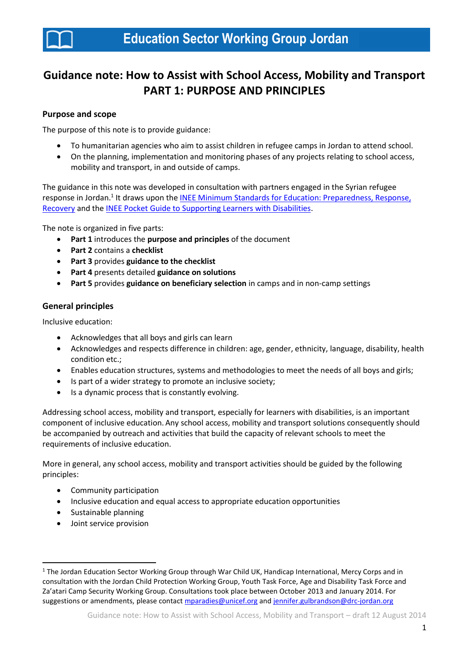

# **Guidance note: How to Assist with School Access, Mobility and Transport PART 1: PURPOSE AND PRINCIPLES**

#### **Purpose and scope**

The purpose of this note is to provide guidance:

- To humanitarian agencies who aim to assist children in refugee camps in Jordan to attend school.
- On the planning, implementation and monitoring phases of any projects relating to school access, mobility and transport, in and outside of camps.

The guidance in this note was developed in consultation with partners engaged in the Syrian refugee response in Jordan.<sup>1</sup> It draws upon the **INEE Minimum Standards for Education: Preparedness, Response,** [Recovery](http://toolkit.ineesite.org/toolkit/Toolkit.php?PostID=1012) and th[e INEE Pocket Guide to Supporting Learners with Disabilities.](http://toolkit.ineesite.org/toolkit/Toolkit.php?PostID=1138)

The note is organized in five parts:

- **Part 1** introduces the **purpose and principles** of the document
- **Part 2** contains a **checklist**
- **Part 3** provides **guidance to the checklist**
- **Part 4** presents detailed **guidance on solutions**
- **Part 5** provides **guidance on beneficiary selection** in camps and in non-camp settings

#### **General principles**

Inclusive education:

- Acknowledges that all boys and girls can learn
- Acknowledges and respects difference in children: age, gender, ethnicity, language, disability, health condition etc.;
- Enables education structures, systems and methodologies to meet the needs of all boys and girls;
- Is part of a wider strategy to promote an inclusive society;
- Is a dynamic process that is constantly evolving.

Addressing school access, mobility and transport, especially for learners with disabilities, is an important component of inclusive education.Any school access, mobility and transport solutions consequently should be accompanied by outreach and activities that build the capacity of relevant schools to meet the requirements of inclusive education.

More in general, any school access, mobility and transport activities should be guided by the following principles:

- Community participation
- Inclusive education and equal access to appropriate education opportunities
- Sustainable planning

**.** 

Joint service provision

<sup>&</sup>lt;sup>1</sup> The Jordan Education Sector Working Group through War Child UK, Handicap International, Mercy Corps and in consultation with the Jordan Child Protection Working Group, Youth Task Force, Age and Disability Task Force and Za'atari Camp Security Working Group. Consultations took place between October 2013 and January 2014. For suggestions or amendments, please contac[t mparadies@unicef.org](mailto:mparadies@unicef.org) and [jennifer.gulbrandson@drc-jordan.org](mailto:jennifer.gulbrandson@drc-jordan.org)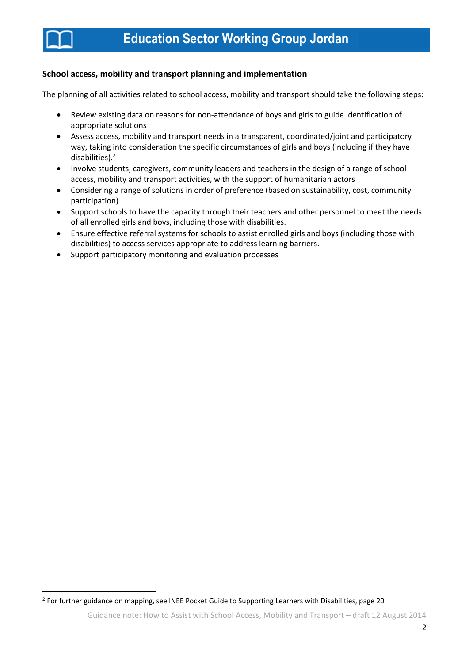

**.** 

#### **School access, mobility and transport planning and implementation**

The planning of all activities related to school access, mobility and transport should take the following steps:

- Review existing data on reasons for non-attendance of boys and girls to guide identification of appropriate solutions
- Assess access, mobility and transport needs in a transparent, coordinated/joint and participatory way, taking into consideration the specific circumstances of girls and boys (including if they have disabilities). 2
- Involve students, caregivers, community leaders and teachers in the design of a range of school access, mobility and transport activities, with the support of humanitarian actors
- Considering a range of solutions in order of preference (based on sustainability, cost, community participation)
- Support schools to have the capacity through their teachers and other personnel to meet the needs of all enrolled girls and boys, including those with disabilities.
- Ensure effective referral systems for schools to assist enrolled girls and boys (including those with disabilities) to access services appropriate to address learning barriers.
- Support participatory monitoring and evaluation processes

 $^2$  For further guidance on mapping, see INEE Pocket Guide to Supporting Learners with Disabilities, page 20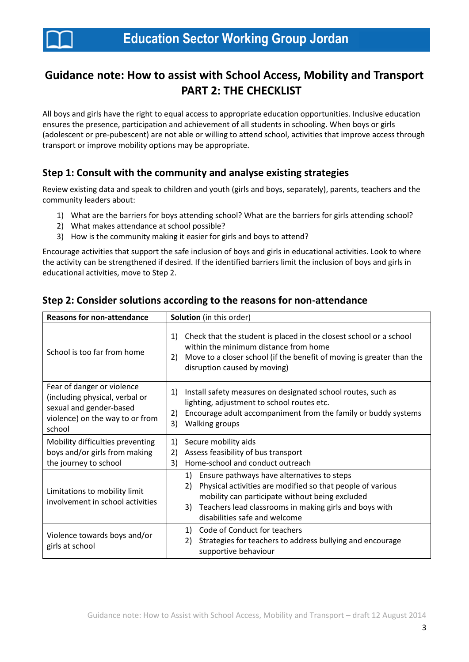

# **Guidance note: How to assist with School Access, Mobility and Transport PART 2: THE CHECKLIST**

All boys and girls have the right to equal access to appropriate education opportunities. Inclusive education ensures the presence, participation and achievement of all students in schooling. When boys or girls (adolescent or pre-pubescent) are not able or willing to attend school, activities that improve access through transport or improve mobility options may be appropriate.

# **Step 1: Consult with the community and analyse existing strategies**

Review existing data and speak to children and youth (girls and boys, separately), parents, teachers and the community leaders about:

- 1) What are the barriers for boys attending school? What are the barriers for girls attending school?
- 2) What makes attendance at school possible?
- 3) How is the community making it easier for girls and boys to attend?

Encourage activities that support the safe inclusion of boys and girls in educational activities. Look to where the activity can be strengthened if desired. If the identified barriers limit the inclusion of boys and girls in educational activities, move to Step 2.

| <b>Reasons for non-attendance</b>                                                                                                    | <b>Solution</b> (in this order)                                                                                                                                                                                                                                          |  |
|--------------------------------------------------------------------------------------------------------------------------------------|--------------------------------------------------------------------------------------------------------------------------------------------------------------------------------------------------------------------------------------------------------------------------|--|
| School is too far from home                                                                                                          | Check that the student is placed in the closest school or a school<br>1)<br>within the minimum distance from home<br>Move to a closer school (if the benefit of moving is greater than the<br>2)<br>disruption caused by moving)                                         |  |
| Fear of danger or violence<br>(including physical, verbal or<br>sexual and gender-based<br>violence) on the way to or from<br>school | Install safety measures on designated school routes, such as<br>1)<br>lighting, adjustment to school routes etc.<br>Encourage adult accompaniment from the family or buddy systems<br>2)<br>Walking groups<br>3)                                                         |  |
| Mobility difficulties preventing<br>boys and/or girls from making<br>the journey to school                                           | 1)<br>Secure mobility aids<br>Assess feasibility of bus transport<br>2)<br>Home-school and conduct outreach<br>3)                                                                                                                                                        |  |
| Limitations to mobility limit<br>involvement in school activities                                                                    | Ensure pathways have alternatives to steps<br>1)<br>Physical activities are modified so that people of various<br>2)<br>mobility can participate without being excluded<br>Teachers lead classrooms in making girls and boys with<br>3)<br>disabilities safe and welcome |  |
| Violence towards boys and/or<br>girls at school                                                                                      | Code of Conduct for teachers<br>1)<br>Strategies for teachers to address bullying and encourage<br>2)<br>supportive behaviour                                                                                                                                            |  |

## **Step 2: Consider solutions according to the reasons for non-attendance**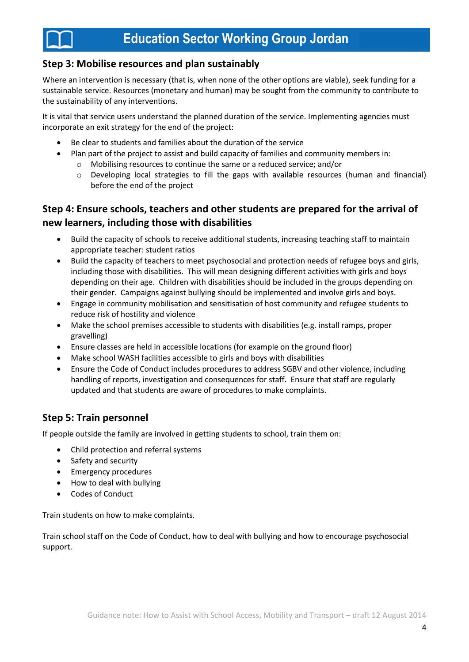## **Step 3: Mobilise resources and plan sustainably**

Where an intervention is necessary (that is, when none of the other options are viable), seek funding for a sustainable service. Resources (monetary and human) may be sought from the community to contribute to the sustainability of any interventions.

It is vital that service users understand the planned duration of the service. Implementing agencies must incorporate an exit strategy for the end of the project:

- Be clear to students and families about the duration of the service
- Plan part of the project to assist and build capacity of families and community members in:
	- o Mobilising resources to continue the same or a reduced service; and/or
	- $\circ$  Developing local strategies to fill the gaps with available resources (human and financial) before the end of the project

## **Step 4: Ensure schools, teachers and other students are prepared for the arrival of new learners, including those with disabilities**

- Build the capacity of schools to receive additional students, increasing teaching staff to maintain appropriate teacher: student ratios
- Build the capacity of teachers to meet psychosocial and protection needs of refugee boys and girls, including those with disabilities. This will mean designing different activities with girls and boys depending on their age. Children with disabilities should be included in the groups depending on their gender. Campaigns against bullying should be implemented and involve girls and boys.
- Engage in community mobilisation and sensitisation of host community and refugee students to reduce risk of hostility and violence
- Make the school premises accessible to students with disabilities (e.g. install ramps, proper gravelling)
- Ensure classes are held in accessible locations (for example on the ground floor)
- Make school WASH facilities accessible to girls and boys with disabilities
- Ensure the Code of Conduct includes procedures to address SGBV and other violence, including handling of reports, investigation and consequences for staff. Ensure that staff are regularly updated and that students are aware of procedures to make complaints.

## **Step 5: Train personnel**

If people outside the family are involved in getting students to school, train them on:

- Child protection and referral systems
- Safety and security
- **•** Emergency procedures
- How to deal with bullying
- Codes of Conduct

Train students on how to make complaints.

Train school staff on the Code of Conduct, how to deal with bullying and how to encourage psychosocial support.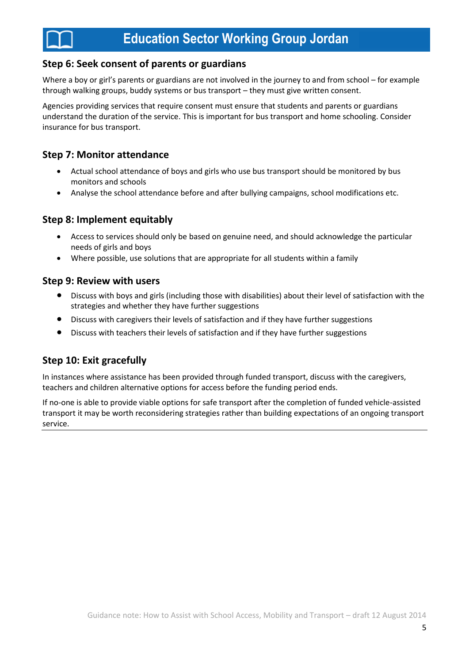## **Step 6: Seek consent of parents or guardians**

Where a boy or girl's parents or guardians are not involved in the journey to and from school – for example through walking groups, buddy systems or bus transport – they must give written consent.

Agencies providing services that require consent must ensure that students and parents or guardians understand the duration of the service. This is important for bus transport and home schooling. Consider insurance for bus transport.

## **Step 7: Monitor attendance**

- Actual school attendance of boys and girls who use bus transport should be monitored by bus monitors and schools
- Analyse the school attendance before and after bullying campaigns, school modifications etc.

## **Step 8: Implement equitably**

- Access to services should only be based on genuine need, and should acknowledge the particular needs of girls and boys
- Where possible, use solutions that are appropriate for all students within a family

### **Step 9: Review with users**

- Discuss with boys and girls (including those with disabilities) about their level of satisfaction with the strategies and whether they have further suggestions
- Discuss with caregivers their levels of satisfaction and if they have further suggestions
- Discuss with teachers their levels of satisfaction and if they have further suggestions

## **Step 10: Exit gracefully**

In instances where assistance has been provided through funded transport, discuss with the caregivers, teachers and children alternative options for access before the funding period ends.

If no-one is able to provide viable options for safe transport after the completion of funded vehicle-assisted transport it may be worth reconsidering strategies rather than building expectations of an ongoing transport service.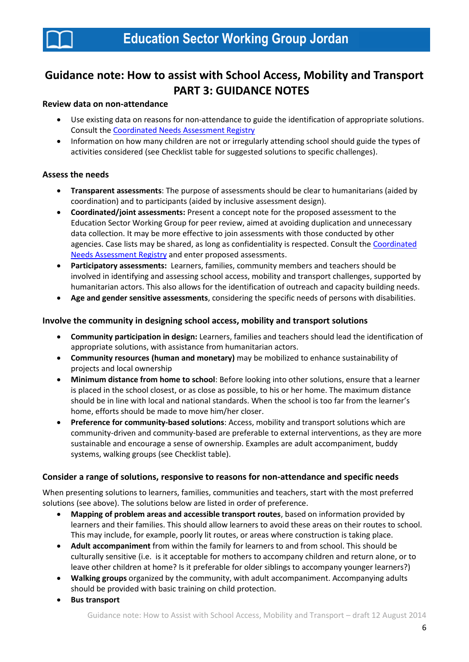

# **Guidance note: How to assist with School Access, Mobility and Transport PART 3: GUIDANCE NOTES**

#### **Review data on non-attendance**

- Use existing data on reasons for non-attendance to guide the identification of appropriate solutions. Consult th[e Coordinated Needs Assessment Registry](http://data.unhcr.org/syrianrefugees/assessments.php?page=1&view=list&Language%5B%5D=1&Country%5B%5D=107)
- Information on how many children are not or irregularly attending school should guide the types of activities considered (see Checklist table for suggested solutions to specific challenges).

#### **Assess the needs**

- **Transparent assessments**: The purpose of assessments should be clear to humanitarians (aided by coordination) and to participants (aided by inclusive assessment design).
- **Coordinated/joint assessments:** Present a concept note for the proposed assessment to the Education Sector Working Group for peer review, aimed at avoiding duplication and unnecessary data collection. It may be more effective to join assessments with those conducted by other agencies. Case lists may be shared, as long as confidentiality is respected. Consult the [Coordinated](http://data.unhcr.org/syrianrefugees/assessments.php?page=1&view=list&Language%5B%5D=1&Country%5B%5D=107)  [Needs Assessment Registry](http://data.unhcr.org/syrianrefugees/assessments.php?page=1&view=list&Language%5B%5D=1&Country%5B%5D=107) and enter proposed assessments.
- **Participatory assessments:** Learners, families, community members and teachers should be involved in identifying and assessing school access, mobility and transport challenges, supported by humanitarian actors. This also allows for the identification of outreach and capacity building needs.
- **Age and gender sensitive assessments**, considering the specific needs of persons with disabilities.

#### **Involve the community in designing school access, mobility and transport solutions**

- **Community participation in design:** Learners, families and teachers should lead the identification of appropriate solutions, with assistance from humanitarian actors.
- **Community resources (human and monetary)** may be mobilized to enhance sustainability of projects and local ownership
- **Minimum distance from home to school**: Before looking into other solutions, ensure that a learner is placed in the school closest, or as close as possible, to his or her home. The maximum distance should be in line with local and national standards. When the school is too far from the learner's home, efforts should be made to move him/her closer.
- **Preference for community-based solutions**: Access, mobility and transport solutions which are community-driven and community-based are preferable to external interventions, as they are more sustainable and encourage a sense of ownership. Examples are adult accompaniment, buddy systems, walking groups (see Checklist table).

#### **Consider a range of solutions, responsive to reasons for non-attendance and specific needs**

When presenting solutions to learners, families, communities and teachers, start with the most preferred solutions (see above). The solutions below are listed in order of preference.

- **Mapping of problem areas and accessible transport routes**, based on information provided by learners and their families. This should allow learners to avoid these areas on their routes to school. This may include, for example, poorly lit routes, or areas where construction is taking place.
- **Adult accompaniment** from within the family for learners to and from school. This should be culturally sensitive (i.e. is it acceptable for mothers to accompany children and return alone, or to leave other children at home? Is it preferable for older siblings to accompany younger learners?)
- **Walking groups** organized by the community, with adult accompaniment. Accompanying adults should be provided with basic training on child protection.
- **Bus transport**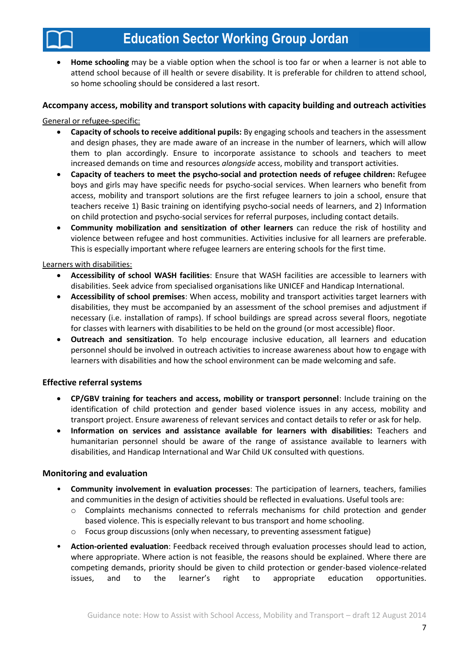**Home schooling** may be a viable option when the school is too far or when a learner is not able to attend school because of ill health or severe disability. It is preferable for children to attend school, so home schooling should be considered a last resort.

#### **Accompany access, mobility and transport solutions with capacity building and outreach activities**

#### General or refugee-specific:

- **Capacity of schools to receive additional pupils:** By engaging schools and teachers in the assessment and design phases, they are made aware of an increase in the number of learners, which will allow them to plan accordingly. Ensure to incorporate assistance to schools and teachers to meet increased demands on time and resources *alongside* access, mobility and transport activities.
- **Capacity of teachers to meet the psycho-social and protection needs of refugee children:** Refugee boys and girls may have specific needs for psycho-social services. When learners who benefit from access, mobility and transport solutions are the first refugee learners to join a school, ensure that teachers receive 1) Basic training on identifying psycho-social needs of learners, and 2) Information on child protection and psycho-social services for referral purposes, including contact details.
- **Community mobilization and sensitization of other learners** can reduce the risk of hostility and violence between refugee and host communities. Activities inclusive for all learners are preferable. This is especially important where refugee learners are entering schools for the first time.

#### Learners with disabilities:

- **Accessibility of school WASH facilities**: Ensure that WASH facilities are accessible to learners with disabilities. Seek advice from specialised organisations like UNICEF and Handicap International.
- **Accessibility of school premises**: When access, mobility and transport activities target learners with disabilities, they must be accompanied by an assessment of the school premises and adjustment if necessary (i.e. installation of ramps). If school buildings are spread across several floors, negotiate for classes with learners with disabilities to be held on the ground (or most accessible) floor.
- **Outreach and sensitization**. To help encourage inclusive education, all learners and education personnel should be involved in outreach activities to increase awareness about how to engage with learners with disabilities and how the school environment can be made welcoming and safe.

#### **Effective referral systems**

- **CP/GBV training for teachers and access, mobility or transport personnel**: Include training on the identification of child protection and gender based violence issues in any access, mobility and transport project. Ensure awareness of relevant services and contact details to refer or ask for help.
- **Information on services and assistance available for learners with disabilities:** Teachers and humanitarian personnel should be aware of the range of assistance available to learners with disabilities, and Handicap International and War Child UK consulted with questions.

#### **Monitoring and evaluation**

- **Community involvement in evaluation processes**: The participation of learners, teachers, families and communities in the design of activities should be reflected in evaluations. Useful tools are:
	- o Complaints mechanisms connected to referrals mechanisms for child protection and gender based violence. This is especially relevant to bus transport and home schooling.
	- $\circ$  Focus group discussions (only when necessary, to preventing assessment fatigue)
- **Action-oriented evaluation**: Feedback received through evaluation processes should lead to action, where appropriate. Where action is not feasible, the reasons should be explained. Where there are competing demands, priority should be given to child protection or gender-based violence-related issues, and to the learner's right to appropriate education opportunities.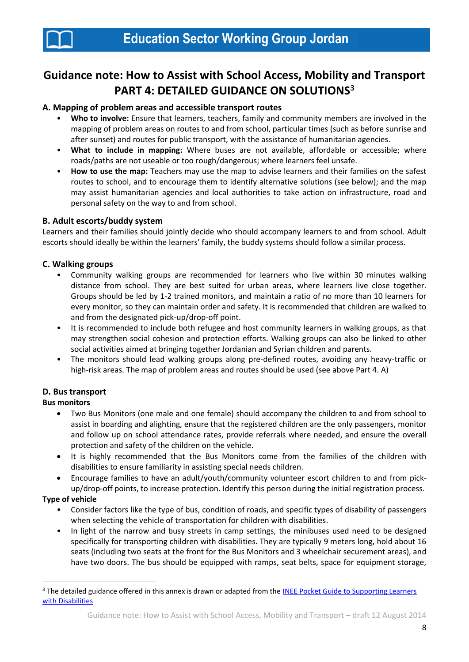

# **Guidance note: How to Assist with School Access, Mobility and Transport PART 4: DETAILED GUIDANCE ON SOLUTIONS<sup>3</sup>**

#### **A. Mapping of problem areas and accessible transport routes**

- **Who to involve:** Ensure that learners, teachers, family and community members are involved in the mapping of problem areas on routes to and from school, particular times (such as before sunrise and after sunset) and routes for public transport, with the assistance of humanitarian agencies.
- **What to include in mapping:** Where buses are not available, affordable or accessible; where roads/paths are not useable or too rough/dangerous; where learners feel unsafe.
- **How to use the map:** Teachers may use the map to advise learners and their families on the safest routes to school, and to encourage them to identify alternative solutions (see below); and the map may assist humanitarian agencies and local authorities to take action on infrastructure, road and personal safety on the way to and from school.

#### **B. Adult escorts/buddy system**

Learners and their families should jointly decide who should accompany learners to and from school. Adult escorts should ideally be within the learners' family, the buddy systems should follow a similar process.

#### **C. Walking groups**

- Community walking groups are recommended for learners who live within 30 minutes walking distance from school. They are best suited for urban areas, where learners live close together. Groups should be led by 1-2 trained monitors, and maintain a ratio of no more than 10 learners for every monitor, so they can maintain order and safety. It is recommended that children are walked to and from the designated pick-up/drop-off point.
- It is recommended to include both refugee and host community learners in walking groups, as that may strengthen social cohesion and protection efforts. Walking groups can also be linked to other social activities aimed at bringing together Jordanian and Syrian children and parents.
- The monitors should lead walking groups along pre-defined routes, avoiding any heavy-traffic or high-risk areas. The map of problem areas and routes should be used (see above Part 4. A)

#### **D. Bus transport**

#### **Bus monitors**

- Two Bus Monitors (one male and one female) should accompany the children to and from school to assist in boarding and alighting, ensure that the registered children are the only passengers, monitor and follow up on school attendance rates, provide referrals where needed, and ensure the overall protection and safety of the children on the vehicle.
- It is highly recommended that the Bus Monitors come from the families of the children with disabilities to ensure familiarity in assisting special needs children.
- Encourage families to have an adult/youth/community volunteer escort children to and from pickup/drop-off points, to increase protection. Identify this person during the initial registration process.

#### **Type of vehicle**

 $\overline{\phantom{a}}$ 

- Consider factors like the type of bus, condition of roads, and specific types of disability of passengers when selecting the vehicle of transportation for children with disabilities.
- In light of the narrow and busy streets in camp settings, the minibuses used need to be designed specifically for transporting children with disabilities. They are typically 9 meters long, hold about 16 seats (including two seats at the front for the Bus Monitors and 3 wheelchair securement areas), and have two doors. The bus should be equipped with ramps, seat belts, space for equipment storage,

<sup>&</sup>lt;sup>3</sup> The detailed guidance offered in this annex is drawn or adapted from the INEE Pocket Guide to Supporting Learners [with Disabilities](http://toolkit.ineesite.org/toolkit/Toolkit.php?PostID=1138)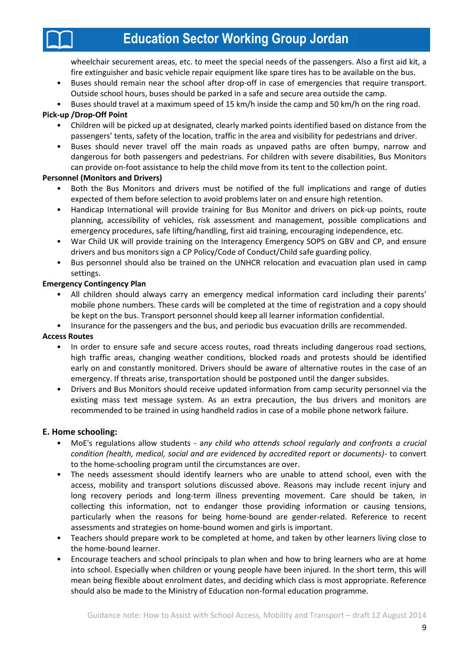wheelchair securement areas, etc. to meet the special needs of the passengers. Also a first aid kit, a fire extinguisher and basic vehicle repair equipment like spare tires has to be available on the bus.

- Buses should remain near the school after drop-off in case of emergencies that require transport. Outside school hours, buses should be parked in a safe and secure area outside the camp.
- Buses should travel at a maximum speed of 15 km/h inside the camp and 50 km/h on the ring road.

### **Pick-up /Drop-Off Point**

- Children will be picked up at designated, clearly marked points identified based on distance from the passengers' tents, safety of the location, traffic in the area and visibility for pedestrians and driver.
- Buses should never travel off the main roads as unpaved paths are often bumpy, narrow and dangerous for both passengers and pedestrians. For children with severe disabilities, Bus Monitors can provide on-foot assistance to help the child move from its tent to the collection point.

#### **Personnel (Monitors and Drivers)**

- Both the Bus Monitors and drivers must be notified of the full implications and range of duties expected of them before selection to avoid problems later on and ensure high retention.
- Handicap International will provide training for Bus Monitor and drivers on pick-up points, route planning, accessibility of vehicles, risk assessment and management, possible complications and emergency procedures, safe lifting/handling, first aid training, encouraging independence, etc.
- War Child UK will provide training on the Interagency Emergency SOPS on GBV and CP, and ensure drivers and bus monitors sign a CP Policy/Code of Conduct/Child safe guarding policy.
- Bus personnel should also be trained on the UNHCR relocation and evacuation plan used in camp settings.

#### **Emergency Contingency Plan**

- All children should always carry an emergency medical information card including their parents' mobile phone numbers. These cards will be completed at the time of registration and a copy should be kept on the bus. Transport personnel should keep all learner information confidential.
- Insurance for the passengers and the bus, and periodic bus evacuation drills are recommended.

### **Access Routes**

- In order to ensure safe and secure access routes, road threats including dangerous road sections, high traffic areas, changing weather conditions, blocked roads and protests should be identified early on and constantly monitored. Drivers should be aware of alternative routes in the case of an emergency. If threats arise, transportation should be postponed until the danger subsides.
- Drivers and Bus Monitors should receive updated information from camp security personnel via the existing mass text message system. As an extra precaution, the bus drivers and monitors are recommended to be trained in using handheld radios in case of a mobile phone network failure.

### **E. Home schooling:**

- MoE's regulations allow students a*ny child who attends school regularly and confronts a crucial condition (health, medical, social and are evidenced by accredited report or documents)-* to convert to the home-schooling program until the circumstances are over.
- The needs assessment should identify learners who are unable to attend school, even with the access, mobility and transport solutions discussed above. Reasons may include recent injury and long recovery periods and long-term illness preventing movement. Care should be taken, in collecting this information, not to endanger those providing information or causing tensions, particularly when the reasons for being home-bound are gender-related. Reference to recent assessments and strategies on home-bound women and girls is important.
- Teachers should prepare work to be completed at home, and taken by other learners living close to the home-bound learner.
- Encourage teachers and school principals to plan when and how to bring learners who are at home into school. Especially when children or young people have been injured. In the short term, this will mean being flexible about enrolment dates, and deciding which class is most appropriate. Reference should also be made to the Ministry of Education non-formal education programme.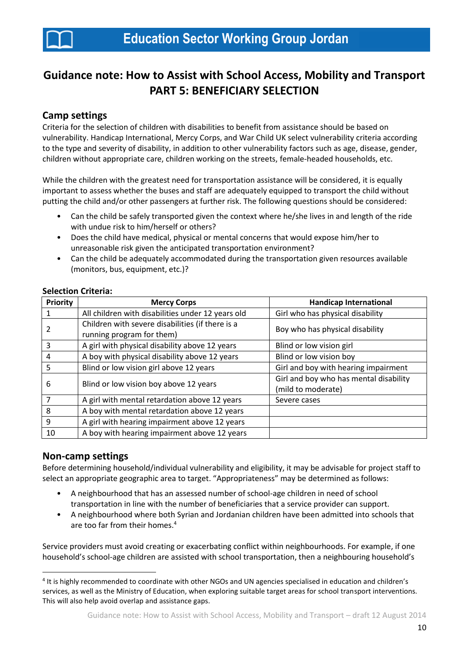

# **Guidance note: How to Assist with School Access, Mobility and Transport PART 5: BENEFICIARY SELECTION**

## **Camp settings**

Criteria for the selection of children with disabilities to benefit from assistance should be based on vulnerability. Handicap International, Mercy Corps, and War Child UK select vulnerability criteria according to the type and severity of disability, in addition to other vulnerability factors such as age, disease, gender, children without appropriate care, children working on the streets, female-headed households, etc.

While the children with the greatest need for transportation assistance will be considered, it is equally important to assess whether the buses and staff are adequately equipped to transport the child without putting the child and/or other passengers at further risk. The following questions should be considered:

- Can the child be safely transported given the context where he/she lives in and length of the ride with undue risk to him/herself or others?
- Does the child have medical, physical or mental concerns that would expose him/her to unreasonable risk given the anticipated transportation environment?
- Can the child be adequately accommodated during the transportation given resources available (monitors, bus, equipment, etc.)?

#### **Selection Criteria:**

| <b>Priority</b> | <b>Mercy Corps</b>                                | <b>Handicap International</b>          |  |
|-----------------|---------------------------------------------------|----------------------------------------|--|
| 1               | All children with disabilities under 12 years old | Girl who has physical disability       |  |
| 2               | Children with severe disabilities (if there is a  | Boy who has physical disability        |  |
|                 | running program for them)                         |                                        |  |
| $\overline{3}$  | A girl with physical disability above 12 years    | Blind or low vision girl               |  |
| $\overline{4}$  | A boy with physical disability above 12 years     | Blind or low vision boy                |  |
| 5               | Blind or low vision girl above 12 years           | Girl and boy with hearing impairment   |  |
| 6               | Blind or low vision boy above 12 years            | Girl and boy who has mental disability |  |
|                 |                                                   | (mild to moderate)                     |  |
| $\overline{7}$  | A girl with mental retardation above 12 years     | Severe cases                           |  |
| 8               | A boy with mental retardation above 12 years      |                                        |  |
| 9               | A girl with hearing impairment above 12 years     |                                        |  |
| 10              | A boy with hearing impairment above 12 years      |                                        |  |

### **Non-camp settings**

**.** 

Before determining household/individual vulnerability and eligibility, it may be advisable for project staff to select an appropriate geographic area to target. "Appropriateness" may be determined as follows:

- A neighbourhood that has an assessed number of school-age children in need of school transportation in line with the number of beneficiaries that a service provider can support.
- A neighbourhood where both Syrian and Jordanian children have been admitted into schools that are too far from their homes.<sup>4</sup>

Service providers must avoid creating or exacerbating conflict within neighbourhoods. For example, if one household's school-age children are assisted with school transportation, then a neighbouring household's

<sup>&</sup>lt;sup>4</sup> It is highly recommended to coordinate with other NGOs and UN agencies specialised in education and children's services, as well as the Ministry of Education, when exploring suitable target areas for school transport interventions. This will also help avoid overlap and assistance gaps.